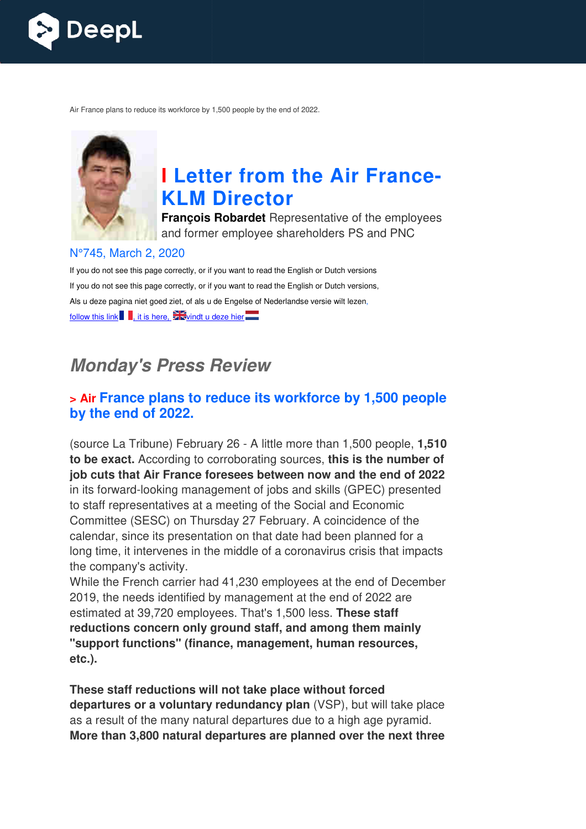

Air France plans to reduce its workforce by 1,500 people by the end of 2022.



# **I Letter from the Air France KLM Director**

**François Robardet** Representative of the employees and former employee shareholders PS and PNC

#### N°745, March 2, 2020

If you do not see this page correctly, or if you want to read the English or Dutch versions If you do not see this page correctly, or if you want to read the English or Dutch versions, Als u deze pagina niet goed ziet, of als u de Engelse of Nederlandse versie wilt lezen, follow this link  $\blacksquare$ , it is here,  $\mathbb{Z}$  vindt u deze hier

# *Monday's Press Review*

### **> Air France plans to reduce its workforce by 1,500 people by the end of 2022.**

(source La Tribune) February 26 - A little more than 1,500 people, **1,510 to be exact.** According to corroborating sources, **this is the number of job cuts that Air France foresees between now and the end of 2022** in its forward-looking management of jobs and skills (GPEC) presented in its forward-looking management of jobs and skills (GPEC) pre:<br>to staff representatives at a meeting of the Social and Economic Committee (SESC) on Thursday 27 February. A coincidence of the calendar, since its presentation on that date had been planned for a long time, it intervenes in the middle of a coronavirus crisis that impacts the company's activity. **Example 16 <b>Example 16 Example 16 Example 16 Example 16 Example 16 Example 18 Example 12 2.222 2.222 2.222 2.422 2.4222 2.4222 2.4222 2.4222 2.4222 2.4222 2.4222 2.42222 2.42222 2.4** 

While the French carrier had 41,230 employees at the end of December 2019, the needs identified by management at the end of 2022 are estimated at 39,720 employees. That's 1,500 less. **These staff reductions concern only ground staff, and among them mainly "support functions" (finance, management, human resources, finance, etc.).** 

**These staff reductions will not take place without forced departures or a voluntary redundancy plan** (VSP), but will take place as a result of the many natural departures due to a high age pyramid. **More than 3,800 natural departures are planned over the next three**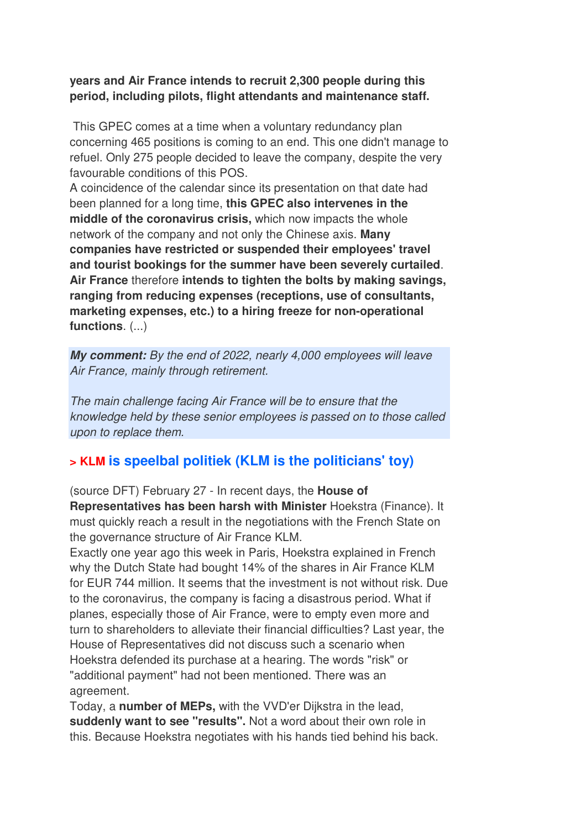#### **years and Air France intends to recruit 2,300 people during this period, including pilots, flight attendants and maintenance staff.**

 This GPEC comes at a time when a voluntary redundancy plan concerning 465 positions is coming to an end. This one didn't manage to refuel. Only 275 people decided to leave the company, despite the very favourable conditions of this POS.

A coincidence of the calendar since its presentation on that date had been planned for a long time, **this GPEC also intervenes in the middle of the coronavirus crisis,** which now impacts the whole network of the company and not only the Chinese axis. **Many companies have restricted or suspended their employees' travel and tourist bookings for the summer have been severely curtailed**. **Air France** therefore **intends to tighten the bolts by making savings, ranging from reducing expenses (receptions, use of consultants, marketing expenses, etc.) to a hiring freeze for non-operational functions**. (...)

*My comment:* By the end of 2022, nearly 4,000 employees will leave Air France, mainly through retirement.

The main challenge facing Air France will be to ensure that the knowledge held by these senior employees is passed on to those called upon to replace them.

### **> KLM is speelbal politiek (KLM is the politicians' toy)**

(source DFT) February 27 - In recent days, the **House of Representatives has been harsh with Minister** Hoekstra (Finance). It must quickly reach a result in the negotiations with the French State on the governance structure of Air France KLM.

Exactly one year ago this week in Paris, Hoekstra explained in French why the Dutch State had bought 14% of the shares in Air France KLM for EUR 744 million. It seems that the investment is not without risk. Due to the coronavirus, the company is facing a disastrous period. What if planes, especially those of Air France, were to empty even more and turn to shareholders to alleviate their financial difficulties? Last year, the House of Representatives did not discuss such a scenario when Hoekstra defended its purchase at a hearing. The words "risk" or "additional payment" had not been mentioned. There was an agreement.

Today, a **number of MEPs,** with the VVD'er Dijkstra in the lead, **suddenly want to see "results".** Not a word about their own role in this. Because Hoekstra negotiates with his hands tied behind his back.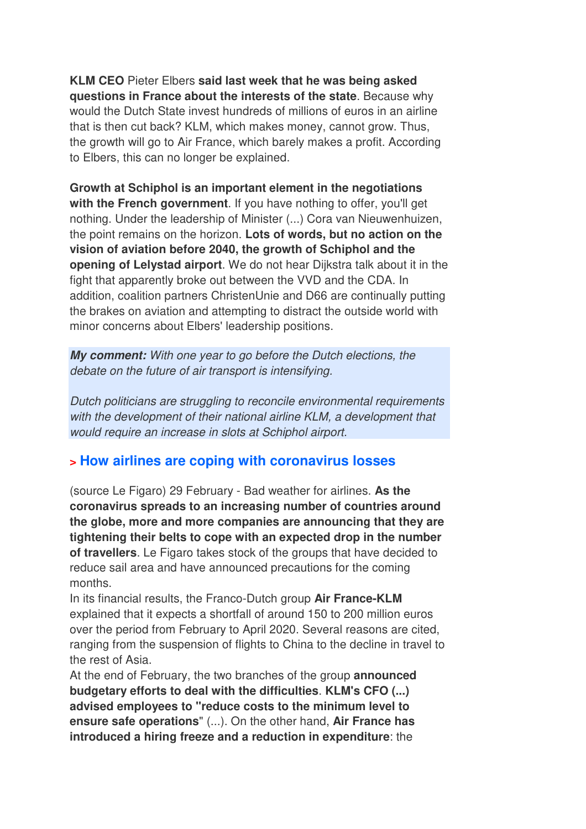**KLM CEO** Pieter Elbers **said last week that he was being asked questions in France about the interests of the state**. Because why would the Dutch State invest hundreds of millions of euros in an airline that is then cut back? KLM, which makes money, cannot grow. Thus, the growth will go to Air France, which barely makes a profit. According to Elbers, this can no longer be explained.

**Growth at Schiphol is an important element in the negotiations with the French government**. If you have nothing to offer, you'll get nothing. Under the leadership of Minister (...) Cora van Nieuwenhuizen, the point remains on the horizon. **Lots of words, but no action on the vision of aviation before 2040, the growth of Schiphol and the opening of Lelystad airport**. We do not hear Dijkstra talk about it in the fight that apparently broke out between the VVD and the CDA. In addition, coalition partners ChristenUnie and D66 are continually putting the brakes on aviation and attempting to distract the outside world with minor concerns about Elbers' leadership positions.

*My comment:* With one year to go before the Dutch elections, the debate on the future of air transport is intensifying.

Dutch politicians are struggling to reconcile environmental requirements with the development of their national airline KLM, a development that would require an increase in slots at Schiphol airport.

### **> How airlines are coping with coronavirus losses**

(source Le Figaro) 29 February - Bad weather for airlines. **As the coronavirus spreads to an increasing number of countries around the globe, more and more companies are announcing that they are tightening their belts to cope with an expected drop in the number of travellers**. Le Figaro takes stock of the groups that have decided to reduce sail area and have announced precautions for the coming months.

In its financial results, the Franco-Dutch group **Air France-KLM** explained that it expects a shortfall of around 150 to 200 million euros over the period from February to April 2020. Several reasons are cited, ranging from the suspension of flights to China to the decline in travel to the rest of Asia.

At the end of February, the two branches of the group **announced budgetary efforts to deal with the difficulties**. **KLM's CFO (...) advised employees to "reduce costs to the minimum level to ensure safe operations**" (...). On the other hand, **Air France has introduced a hiring freeze and a reduction in expenditure**: the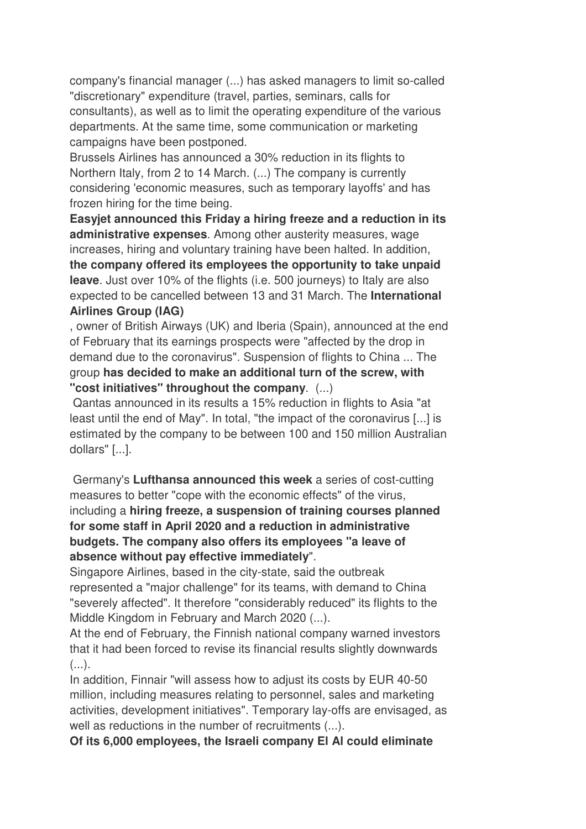company's financial manager (...) has asked managers to limit so-called "discretionary" expenditure (travel, parties, seminars, calls for consultants), as well as to limit the operating expenditure of the various departments. At the same time, some communication or marketing campaigns have been postponed.

Brussels Airlines has announced a 30% reduction in its flights to Northern Italy, from 2 to 14 March. (...) The company is currently considering 'economic measures, such as temporary layoffs' and has frozen hiring for the time being.

**Easyjet announced this Friday a hiring freeze and a reduction in its administrative expenses**. Among other austerity measures, wage increases, hiring and voluntary training have been halted. In addition, **the company offered its employees the opportunity to take unpaid leave**. Just over 10% of the flights (i.e. 500 journeys) to Italy are also expected to be cancelled between 13 and 31 March. The **International Airlines Group (IAG)**

, owner of British Airways (UK) and Iberia (Spain), announced at the end of February that its earnings prospects were "affected by the drop in demand due to the coronavirus". Suspension of flights to China ... The group **has decided to make an additional turn of the screw, with "cost initiatives" throughout the company**. (...)

 Qantas announced in its results a 15% reduction in flights to Asia "at least until the end of May". In total, "the impact of the coronavirus [...] is estimated by the company to be between 100 and 150 million Australian dollars" [...].

 Germany's **Lufthansa announced this week** a series of cost-cutting measures to better "cope with the economic effects" of the virus, including a **hiring freeze, a suspension of training courses planned for some staff in April 2020 and a reduction in administrative budgets. The company also offers its employees "a leave of absence without pay effective immediately**".

Singapore Airlines, based in the city-state, said the outbreak represented a "major challenge" for its teams, with demand to China "severely affected". It therefore "considerably reduced" its flights to the Middle Kingdom in February and March 2020 (...).

At the end of February, the Finnish national company warned investors that it had been forced to revise its financial results slightly downwards  $($ ...).

In addition, Finnair "will assess how to adjust its costs by EUR 40-50 million, including measures relating to personnel, sales and marketing activities, development initiatives". Temporary lay-offs are envisaged, as well as reductions in the number of recruitments (...).

**Of its 6,000 employees, the Israeli company El Al could eliminate**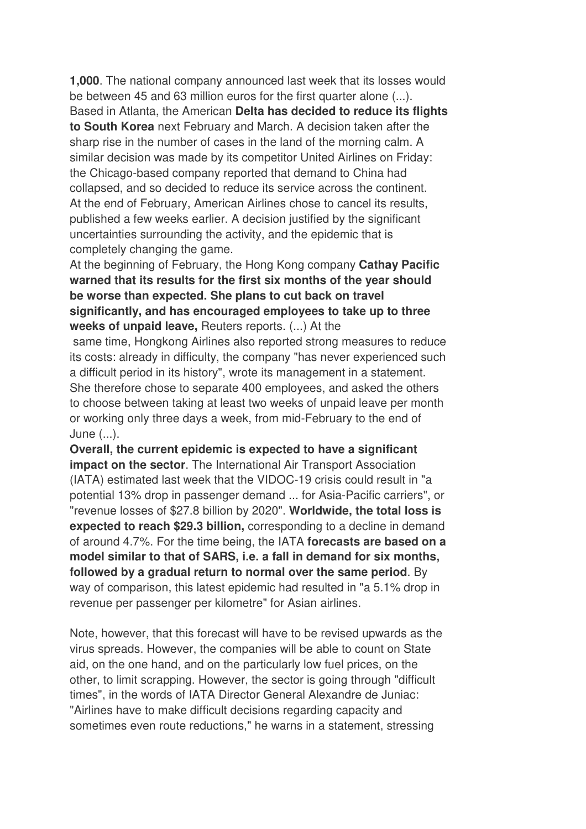**1,000**. The national company announced last week that its losses would be between 45 and 63 million euros for the first quarter alone (...). Based in Atlanta, the American **Delta has decided to reduce its flights to South Korea** next February and March. A decision taken after the sharp rise in the number of cases in the land of the morning calm. A similar decision was made by its competitor United Airlines on Friday: the Chicago-based company reported that demand to China had collapsed, and so decided to reduce its service across the continent. At the end of February, American Airlines chose to cancel its results, published a few weeks earlier. A decision justified by the significant uncertainties surrounding the activity, and the epidemic that is completely changing the game.

At the beginning of February, the Hong Kong company **Cathay Pacific warned that its results for the first six months of the year should be worse than expected. She plans to cut back on travel significantly, and has encouraged employees to take up to three weeks of unpaid leave,** Reuters reports. (...) At the

 same time, Hongkong Airlines also reported strong measures to reduce its costs: already in difficulty, the company "has never experienced such a difficult period in its history", wrote its management in a statement. She therefore chose to separate 400 employees, and asked the others to choose between taking at least two weeks of unpaid leave per month or working only three days a week, from mid-February to the end of June (...).

**Overall, the current epidemic is expected to have a significant impact on the sector**. The International Air Transport Association (IATA) estimated last week that the VIDOC-19 crisis could result in "a potential 13% drop in passenger demand ... for Asia-Pacific carriers", or "revenue losses of \$27.8 billion by 2020". **Worldwide, the total loss is expected to reach \$29.3 billion,** corresponding to a decline in demand of around 4.7%. For the time being, the IATA **forecasts are based on a model similar to that of SARS, i.e. a fall in demand for six months, followed by a gradual return to normal over the same period**. By way of comparison, this latest epidemic had resulted in "a 5.1% drop in revenue per passenger per kilometre" for Asian airlines.

Note, however, that this forecast will have to be revised upwards as the virus spreads. However, the companies will be able to count on State aid, on the one hand, and on the particularly low fuel prices, on the other, to limit scrapping. However, the sector is going through "difficult times", in the words of IATA Director General Alexandre de Juniac: "Airlines have to make difficult decisions regarding capacity and sometimes even route reductions," he warns in a statement, stressing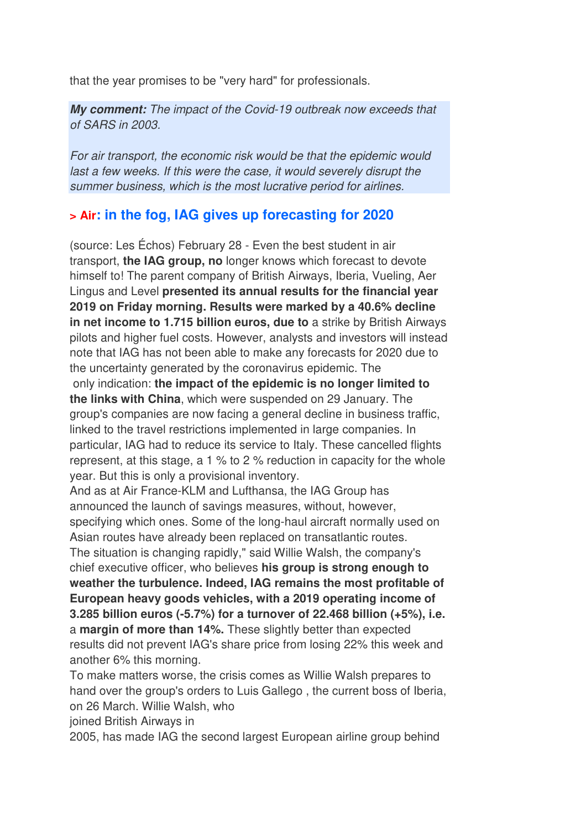that the year promises to be "very hard" for professionals.

*My comment:* The impact of the Covid-19 outbreak now exceeds that of SARS in 2003.

For air transport, the economic risk would be that the epidemic would last a few weeks. If this were the case, it would severely disrupt the summer business, which is the most lucrative period for airlines.

### **> Air: in the fog, IAG gives up forecasting for 2020**

(source: Les Échos) February 28 - Even the best student in air transport, **the IAG group, no** longer knows which forecast to devote himself to! The parent company of British Airways, Iberia, Vueling, Aer Lingus and Level **presented its annual results for the financial year 2019 on Friday morning. Results were marked by a 40.6% decline in net income to 1.715 billion euros, due to** a strike by British Airways pilots and higher fuel costs. However, analysts and investors will instead note that IAG has not been able to make any forecasts for 2020 due to the uncertainty generated by the coronavirus epidemic. The only indication: **the impact of the epidemic is no longer limited to the links with China**, which were suspended on 29 January. The group's companies are now facing a general decline in business traffic, linked to the travel restrictions implemented in large companies. In particular, IAG had to reduce its service to Italy. These cancelled flights represent, at this stage, a 1 % to 2 % reduction in capacity for the whole year. But this is only a provisional inventory.

And as at Air France-KLM and Lufthansa, the IAG Group has announced the launch of savings measures, without, however, specifying which ones. Some of the long-haul aircraft normally used on Asian routes have already been replaced on transatlantic routes. The situation is changing rapidly," said Willie Walsh, the company's chief executive officer, who believes **his group is strong enough to weather the turbulence. Indeed, IAG remains the most profitable of European heavy goods vehicles, with a 2019 operating income of 3.285 billion euros (-5.7%) for a turnover of 22.468 billion (+5%), i.e.** a **margin of more than 14%.** These slightly better than expected results did not prevent IAG's share price from losing 22% this week and another 6% this morning.

To make matters worse, the crisis comes as Willie Walsh prepares to hand over the group's orders to Luis Gallego , the current boss of Iberia, on 26 March. Willie Walsh, who

joined British Airways in

2005, has made IAG the second largest European airline group behind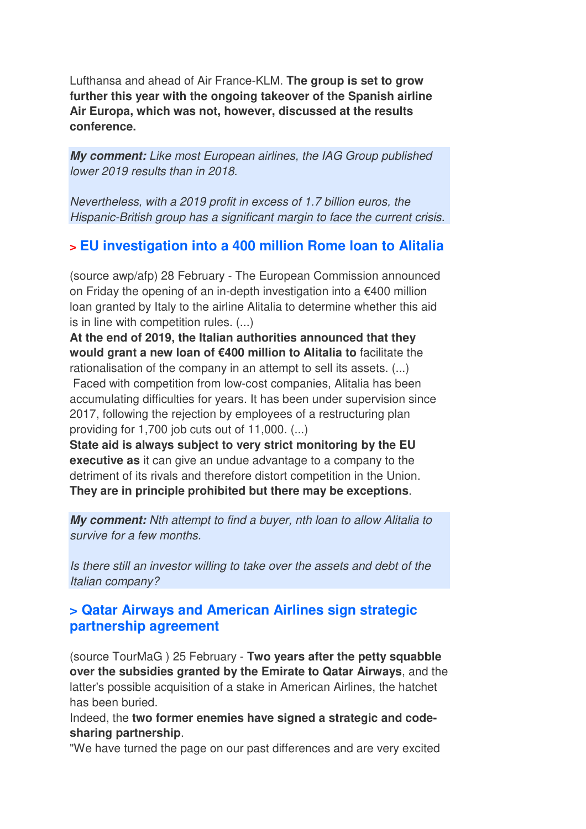Lufthansa and ahead of Air France-KLM. **The group is set to grow further this year with the ongoing takeover of the Spanish airline Air Europa, which was not, however, discussed at the results conference.**

*My comment:* Like most European airlines, the IAG Group published lower 2019 results than in 2018.

Nevertheless, with a 2019 profit in excess of 1.7 billion euros, the Hispanic-British group has a significant margin to face the current crisis.

### **> EU investigation into a 400 million Rome loan to Alitalia**

(source awp/afp) 28 February - The European Commission announced on Friday the opening of an in-depth investigation into a €400 million loan granted by Italy to the airline Alitalia to determine whether this aid is in line with competition rules. (...)

**At the end of 2019, the Italian authorities announced that they would grant a new loan of €400 million to Alitalia to** facilitate the rationalisation of the company in an attempt to sell its assets. (...) Faced with competition from low-cost companies, Alitalia has been accumulating difficulties for years. It has been under supervision since 2017, following the rejection by employees of a restructuring plan providing for 1,700 job cuts out of  $11,000$ .  $(...)$ 

**State aid is always subject to very strict monitoring by the EU executive as** it can give an undue advantage to a company to the detriment of its rivals and therefore distort competition in the Union. **They are in principle prohibited but there may be exceptions**.

*My comment:* Nth attempt to find a buyer, nth loan to allow Alitalia to survive for a few months.

Is there still an investor willing to take over the assets and debt of the Italian company?

### **> Qatar Airways and American Airlines sign strategic partnership agreement**

(source TourMaG ) 25 February - **Two years after the petty squabble over the subsidies granted by the Emirate to Qatar Airways**, and the latter's possible acquisition of a stake in American Airlines, the hatchet has been buried.

Indeed, the **two former enemies have signed a strategic and codesharing partnership**.

"We have turned the page on our past differences and are very excited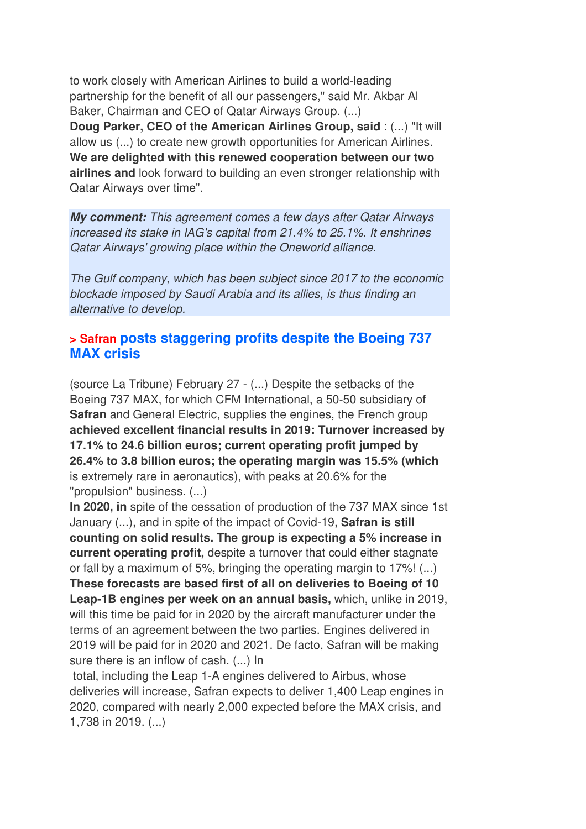to work closely with American Airlines to build a world-leading partnership for the benefit of all our passengers," said Mr. Akbar Al Baker, Chairman and CEO of Qatar Airways Group. (...)

**Doug Parker, CEO of the American Airlines Group, said** : (...) "It will allow us (...) to create new growth opportunities for American Airlines. **We are delighted with this renewed cooperation between our two airlines and** look forward to building an even stronger relationship with Qatar Airways over time".

*My comment:* This agreement comes a few days after Qatar Airways increased its stake in IAG's capital from 21.4% to 25.1%. It enshrines Qatar Airways' growing place within the Oneworld alliance.

The Gulf company, which has been subject since 2017 to the economic blockade imposed by Saudi Arabia and its allies, is thus finding an alternative to develop.

### **> Safran posts staggering profits despite the Boeing 737 MAX crisis**

(source La Tribune) February 27 - (...) Despite the setbacks of the Boeing 737 MAX, for which CFM International, a 50-50 subsidiary of **Safran** and General Electric, supplies the engines, the French group **achieved excellent financial results in 2019: Turnover increased by 17.1% to 24.6 billion euros; current operating profit jumped by 26.4% to 3.8 billion euros; the operating margin was 15.5% (which** is extremely rare in aeronautics), with peaks at 20.6% for the "propulsion" business. (...)

**In 2020, in** spite of the cessation of production of the 737 MAX since 1st January (...), and in spite of the impact of Covid-19, **Safran is still counting on solid results. The group is expecting a 5% increase in current operating profit,** despite a turnover that could either stagnate or fall by a maximum of 5%, bringing the operating margin to 17%! (...) **These forecasts are based first of all on deliveries to Boeing of 10 Leap-1B engines per week on an annual basis,** which, unlike in 2019, will this time be paid for in 2020 by the aircraft manufacturer under the terms of an agreement between the two parties. Engines delivered in 2019 will be paid for in 2020 and 2021. De facto, Safran will be making sure there is an inflow of cash. (...) In

 total, including the Leap 1-A engines delivered to Airbus, whose deliveries will increase, Safran expects to deliver 1,400 Leap engines in 2020, compared with nearly 2,000 expected before the MAX crisis, and 1,738 in 2019. (...)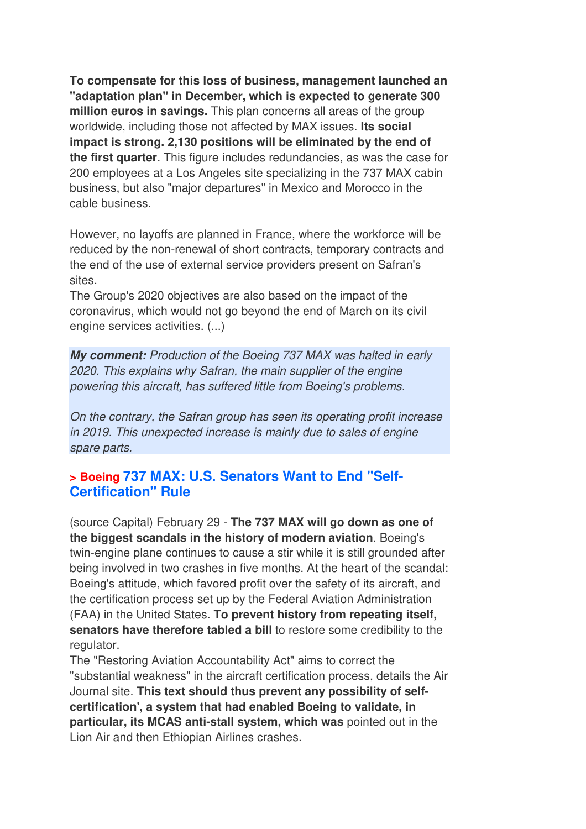**To compensate for this loss of business, management launched an "adaptation plan" in December, which is expected to generate 300 million euros in savings.** This plan concerns all areas of the group worldwide, including those not affected by MAX issues. **Its social impact is strong. 2,130 positions will be eliminated by the end of the first quarter**. This figure includes redundancies, as was the case for 200 employees at a Los Angeles site specializing in the 737 MAX cabin business, but also "major departures" in Mexico and Morocco in the cable business.

However, no layoffs are planned in France, where the workforce will be reduced by the non-renewal of short contracts, temporary contracts and the end of the use of external service providers present on Safran's sites.

The Group's 2020 objectives are also based on the impact of the coronavirus, which would not go beyond the end of March on its civil engine services activities. (...)

*My comment:* Production of the Boeing 737 MAX was halted in early 2020. This explains why Safran, the main supplier of the engine powering this aircraft, has suffered little from Boeing's problems.

On the contrary, the Safran group has seen its operating profit increase in 2019. This unexpected increase is mainly due to sales of engine spare parts.

### **> Boeing 737 MAX: U.S. Senators Want to End "Self-Certification" Rule**

(source Capital) February 29 - **The 737 MAX will go down as one of the biggest scandals in the history of modern aviation**. Boeing's twin-engine plane continues to cause a stir while it is still grounded after being involved in two crashes in five months. At the heart of the scandal: Boeing's attitude, which favored profit over the safety of its aircraft, and the certification process set up by the Federal Aviation Administration (FAA) in the United States. **To prevent history from repeating itself, senators have therefore tabled a bill** to restore some credibility to the regulator.

The "Restoring Aviation Accountability Act" aims to correct the "substantial weakness" in the aircraft certification process, details the Air Journal site. **This text should thus prevent any possibility of selfcertification', a system that had enabled Boeing to validate, in particular, its MCAS anti-stall system, which was** pointed out in the Lion Air and then Ethiopian Airlines crashes.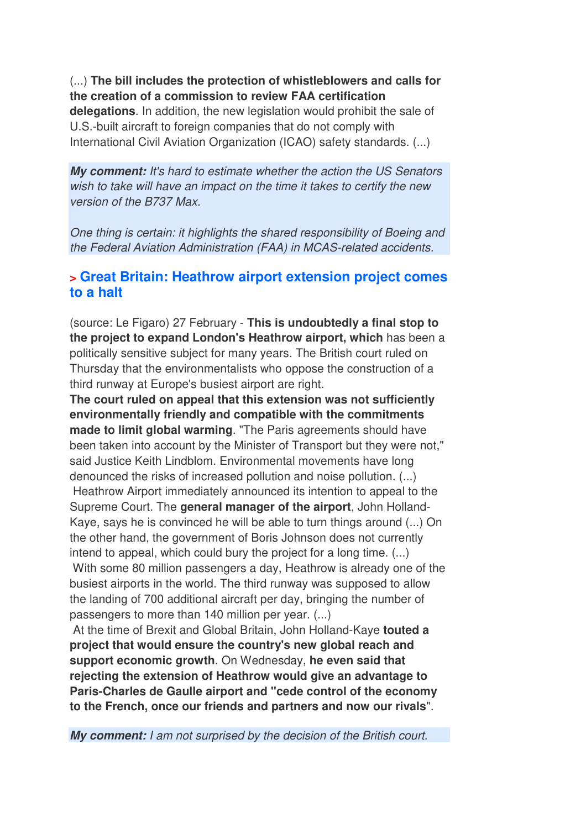(...) **The bill includes the protection of whistleblowers and calls for the creation of a commission to review FAA certification delegations**. In addition, the new legislation would prohibit the sale of U.S.-built aircraft to foreign companies that do not comply with International Civil Aviation Organization (ICAO) safety standards. (...)

*My comment:* It's hard to estimate whether the action the US Senators wish to take will have an impact on the time it takes to certify the new version of the B737 Max.

One thing is certain: it highlights the shared responsibility of Boeing and the Federal Aviation Administration (FAA) in MCAS-related accidents.

### **> Great Britain: Heathrow airport extension project comes to a halt**

(source: Le Figaro) 27 February - **This is undoubtedly a final stop to the project to expand London's Heathrow airport, which** has been a politically sensitive subject for many years. The British court ruled on Thursday that the environmentalists who oppose the construction of a third runway at Europe's busiest airport are right.

**The court ruled on appeal that this extension was not sufficiently environmentally friendly and compatible with the commitments made to limit global warming**. "The Paris agreements should have been taken into account by the Minister of Transport but they were not," said Justice Keith Lindblom. Environmental movements have long denounced the risks of increased pollution and noise pollution. (...) Heathrow Airport immediately announced its intention to appeal to the Supreme Court. The **general manager of the airport**, John Holland-Kaye, says he is convinced he will be able to turn things around (...) On the other hand, the government of Boris Johnson does not currently intend to appeal, which could bury the project for a long time. (...) With some 80 million passengers a day, Heathrow is already one of the busiest airports in the world. The third runway was supposed to allow the landing of 700 additional aircraft per day, bringing the number of passengers to more than 140 million per year. (...)

 At the time of Brexit and Global Britain, John Holland-Kaye **touted a project that would ensure the country's new global reach and support economic growth**. On Wednesday, **he even said that rejecting the extension of Heathrow would give an advantage to Paris-Charles de Gaulle airport and "cede control of the economy to the French, once our friends and partners and now our rivals**".

*My comment:* I am not surprised by the decision of the British court.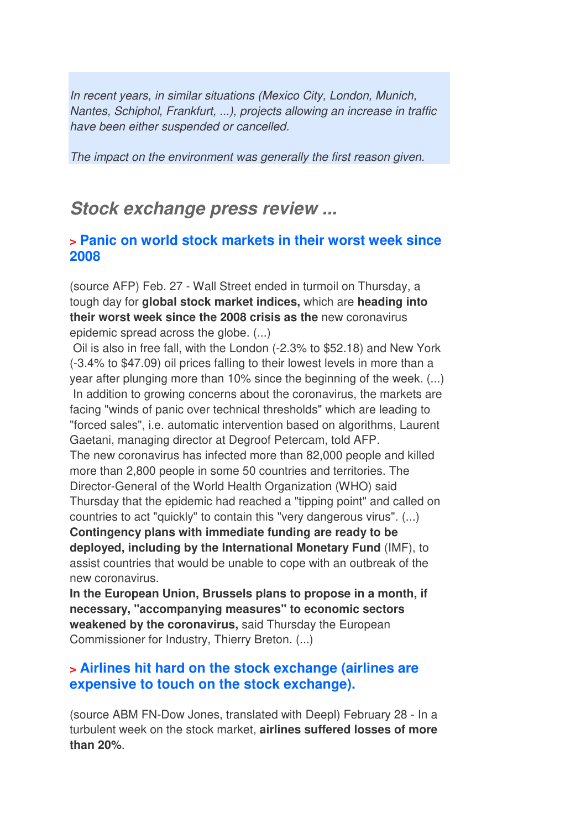In recent years, in similar situations (Mexico City, London, Munich, Nantes, Schiphol, Frankfurt, ...), projects allowing an increase in traffic have been either suspended or cancelled.

The impact on the environment was generally the first reason given.

## *Stock exchange press review ...*

### **> Panic on world stock markets in their worst week since 2008**

(source AFP) Feb. 27 - Wall Street ended in turmoil on Thursday, a tough day for **global stock market indices,** which are **heading into their worst week since the 2008 crisis as the** new coronavirus epidemic spread across the globe. (...)

 Oil is also in free fall, with the London (-2.3% to \$52.18) and New York (-3.4% to \$47.09) oil prices falling to their lowest levels in more than a year after plunging more than 10% since the beginning of the week. (...) In addition to growing concerns about the coronavirus, the markets are facing "winds of panic over technical thresholds" which are leading to "forced sales", i.e. automatic intervention based on algorithms, Laurent Gaetani, managing director at Degroof Petercam, told AFP. The new coronavirus has infected more than 82,000 people and killed more than 2,800 people in some 50 countries and territories. The Director-General of the World Health Organization (WHO) said Thursday that the epidemic had reached a "tipping point" and called on countries to act "quickly" to contain this "very dangerous virus". (...) **Contingency plans with immediate funding are ready to be deployed, including by the International Monetary Fund** (IMF), to assist countries that would be unable to cope with an outbreak of the new coronavirus.

**In the European Union, Brussels plans to propose in a month, if necessary, "accompanying measures" to economic sectors weakened by the coronavirus,** said Thursday the European Commissioner for Industry, Thierry Breton. (...)

### **> Airlines hit hard on the stock exchange (airlines are expensive to touch on the stock exchange).**

(source ABM FN-Dow Jones, translated with Deepl) February 28 - In a turbulent week on the stock market, **airlines suffered losses of more than 20%**.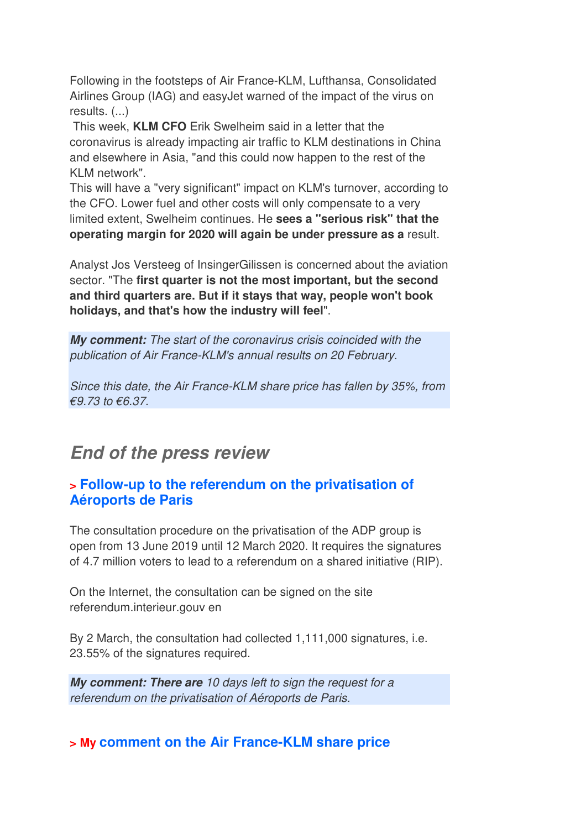Following in the footsteps of Air France-KLM, Lufthansa, Consolidated Airlines Group (IAG) and easyJet warned of the impact of the virus on results. (...)

 This week, **KLM CFO** Erik Swelheim said in a letter that the coronavirus is already impacting air traffic to KLM destinations in China and elsewhere in Asia, "and this could now happen to the rest of the KLM network".

This will have a "very significant" impact on KLM's turnover, according to the CFO. Lower fuel and other costs will only compensate to a very limited extent, Swelheim continues. He **sees a "serious risk" that the operating margin for 2020 will again be under pressure as a** result.

Analyst Jos Versteeg of InsingerGilissen is concerned about the aviation sector. "The **first quarter is not the most important, but the second and third quarters are. But if it stays that way, people won't book holidays, and that's how the industry will feel**".

*My comment:* The start of the coronavirus crisis coincided with the publication of Air France-KLM's annual results on 20 February.

Since this date, the Air France-KLM share price has fallen by 35%, from  $€9,73$  to  $€6,37$ .

## *End of the press review*

### **> Follow-up to the referendum on the privatisation of Aéroports de Paris**

The consultation procedure on the privatisation of the ADP group is open from 13 June 2019 until 12 March 2020. It requires the signatures of 4.7 million voters to lead to a referendum on a shared initiative (RIP).

On the Internet, the consultation can be signed on the site referendum.interieur.gouv en

By 2 March, the consultation had collected 1,111,000 signatures, i.e. 23.55% of the signatures required.

*My comment: There are* 10 days left to sign the request for a referendum on the privatisation of Aéroports de Paris.

### **> My comment on the Air France-KLM share price**